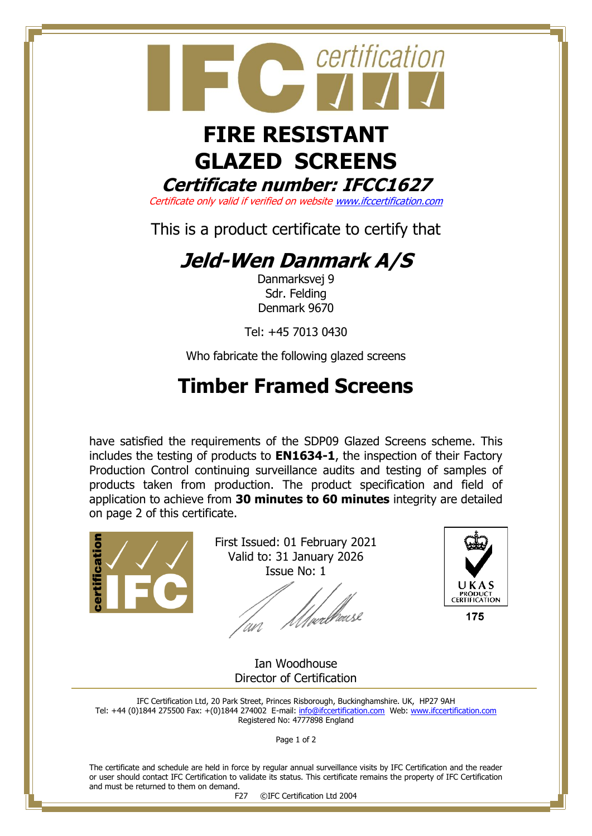

# **GLAZED SCREENS Certificate number: IFCC1627**

Certificate only valid if verified on websit[e www.ifccertification.com](http://www.ifccertification.com/)

This is a product certificate to certify that

## **Jeld-Wen Danmark A/S**

Danmarksvej 9 Sdr. Felding Denmark 9670

Tel: +45 7013 0430

Who fabricate the following glazed screens

## **Timber Framed Screens**

have satisfied the requirements of the SDP09 Glazed Screens scheme. This includes the testing of products to **EN1634-1**, the inspection of their Factory Production Control continuing surveillance audits and testing of samples of products taken from production. The product specification and field of application to achieve from **30 minutes to 60 minutes** integrity are detailed on page 2 of this certificate.



First Issued: 01 February 2021 Valid to: 31 January 2026 Issue No: 1

'<br>[µrllausl



175

Ian Woodhouse Director of Certification

IFC Certification Ltd, 20 Park Street, Princes Risborough, Buckinghamshire. UK, HP27 9AH Tel: +44 (0)1844 275500 Fax: +(0)1844 274002 E-mail[: info@ifccertification.com](mailto:info@ifccertification.com) Web: [www.ifccertification.com](http://www.ifccertification.com/) Registered No: 4777898 England

Page 1 of 2

The certificate and schedule are held in force by regular annual surveillance visits by IFC Certification and the reader or user should contact IFC Certification to validate its status. This certificate remains the property of IFC Certification and must be returned to them on demand.

F27 ©IFC Certification Ltd 2004